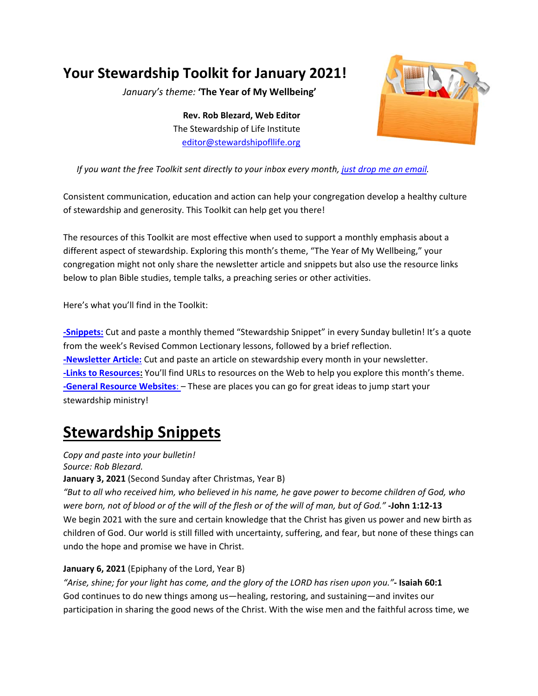## **Your Stewardship Toolkit for January 2021!**

*January's theme:* **'The Year of My Wellbeing'** 

**Rev. Rob Blezard, Web Editor**  The Stewardship of Life Institute editor@stewardshipofllife.org



#### *If you want the free Toolkit sent directly to your inbox every month, just drop me an email.*

Consistent communication, education and action can help your congregation develop a healthy culture of stewardship and generosity. This Toolkit can help get you there!

The resources of this Toolkit are most effective when used to support a monthly emphasis about a different aspect of stewardship. Exploring this month's theme, "The Year of My Wellbeing," your congregation might not only share the newsletter article and snippets but also use the resource links below to plan Bible studies, temple talks, a preaching series or other activities.

Here's what you'll find in the Toolkit:

**‐Snippets:** Cut and paste a monthly themed "Stewardship Snippet" in every Sunday bulletin! It's a quote from the week's Revised Common Lectionary lessons, followed by a brief reflection. **‐Newsletter Article:** Cut and paste an article on stewardship every month in your newsletter. **‐Links to Resources:** You'll find URLs to resources on the Web to help you explore this month's theme. **‐General Resource Websites**: – These are places you can go for great ideas to jump start your stewardship ministry!

# **Stewardship Snippets**

*Copy and paste into your bulletin! Source: Rob Blezard.* 

**January 3, 2021** (Second Sunday after Christmas, Year B)

*"But to all who received him, who believed in his name, he gave power to become children of God, who were born, not of blood or of the will of the flesh or of the will of man, but of God."* **‐John 1:12‐13**  We begin 2021 with the sure and certain knowledge that the Christ has given us power and new birth as children of God. Our world is still filled with uncertainty, suffering, and fear, but none of these things can undo the hope and promise we have in Christ.

#### **January 6, 2021** (Epiphany of the Lord, Year B)

*"Arise, shine; for your light has come, and the glory of the LORD has risen upon you."***‐ Isaiah 60:1**  God continues to do new things among us—healing, restoring, and sustaining—and invites our participation in sharing the good news of the Christ. With the wise men and the faithful across time, we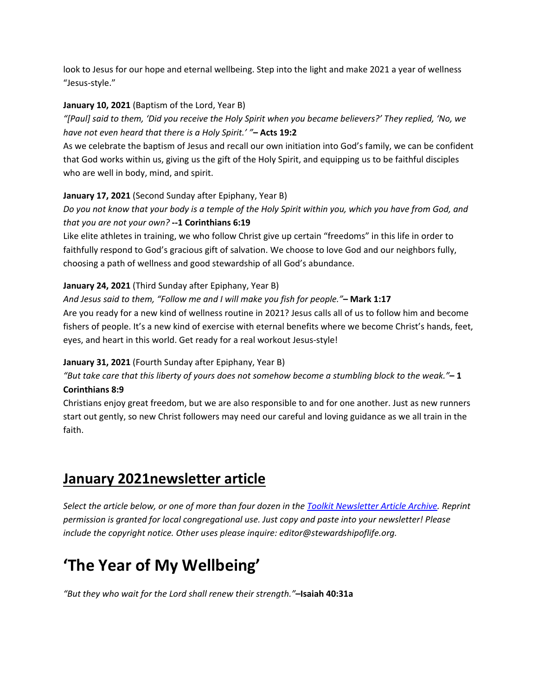look to Jesus for our hope and eternal wellbeing. Step into the light and make 2021 a year of wellness "Jesus‐style."

#### **January 10, 2021** (Baptism of the Lord, Year B)

*"[Paul] said to them, 'Did you receive the Holy Spirit when you became believers?' They replied, 'No, we have not even heard that there is a Holy Spirit.' "***– Acts 19:2** 

As we celebrate the baptism of Jesus and recall our own initiation into God's family, we can be confident that God works within us, giving us the gift of the Holy Spirit, and equipping us to be faithful disciples who are well in body, mind, and spirit.

#### **January 17, 2021** (Second Sunday after Epiphany, Year B)

*Do you not know that your body is a temple of the Holy Spirit within you, which you have from God, and that you are not your own?* **‐‐1 Corinthians 6:19** 

Like elite athletes in training, we who follow Christ give up certain "freedoms" in this life in order to faithfully respond to God's gracious gift of salvation. We choose to love God and our neighbors fully, choosing a path of wellness and good stewardship of all God's abundance.

#### **January 24, 2021** (Third Sunday after Epiphany, Year B)

*And Jesus said to them, "Follow me and I will make you fish for people."***– Mark 1:17**  Are you ready for a new kind of wellness routine in 2021? Jesus calls all of us to follow him and become fishers of people. It's a new kind of exercise with eternal benefits where we become Christ's hands, feet, eyes, and heart in this world. Get ready for a real workout Jesus‐style!

#### **January 31, 2021** (Fourth Sunday after Epiphany, Year B)

*"But take care that this liberty of yours does not somehow become a stumbling block to the weak."***– 1 Corinthians 8:9** 

Christians enjoy great freedom, but we are also responsible to and for one another. Just as new runners start out gently, so new Christ followers may need our careful and loving guidance as we all train in the faith.

### **January 2021newsletter article**

*Select the article below, or one of more than four dozen in the Toolkit Newsletter Article Archive. Reprint permission is granted for local congregational use. Just copy and paste into your newsletter! Please include the copyright notice. Other uses please inquire: editor@stewardshipoflife.org.* 

# **'The Year of My Wellbeing'**

*"But they who wait for the Lord shall renew their strength."***–Isaiah 40:31a**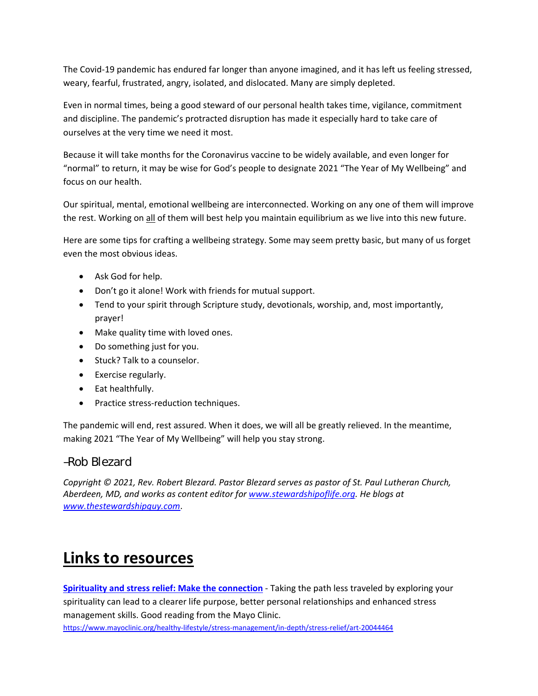The Covid‐19 pandemic has endured far longer than anyone imagined, and it has left us feeling stressed, weary, fearful, frustrated, angry, isolated, and dislocated. Many are simply depleted.

Even in normal times, being a good steward of our personal health takes time, vigilance, commitment and discipline. The pandemic's protracted disruption has made it especially hard to take care of ourselves at the very time we need it most.

Because it will take months for the Coronavirus vaccine to be widely available, and even longer for "normal" to return, it may be wise for God's people to designate 2021 "The Year of My Wellbeing" and focus on our health.

Our spiritual, mental, emotional wellbeing are interconnected. Working on any one of them will improve the rest. Working on all of them will best help you maintain equilibrium as we live into this new future.

Here are some tips for crafting a wellbeing strategy. Some may seem pretty basic, but many of us forget even the most obvious ideas.

- Ask God for help.
- Don't go it alone! Work with friends for mutual support.
- Tend to your spirit through Scripture study, devotionals, worship, and, most importantly, prayer!
- Make quality time with loved ones.
- Do something just for you.
- Stuck? Talk to a counselor.
- Exercise regularly.
- Eat healthfully.
- Practice stress-reduction techniques.

The pandemic will end, rest assured. When it does, we will all be greatly relieved. In the meantime, making 2021 "The Year of My Wellbeing" will help you stay strong.

#### *–Rob Blezard*

*Copyright © 2021, Rev. Robert Blezard. Pastor Blezard serves as pastor of St. Paul Lutheran Church, Aberdeen, MD, and works as content editor for www.stewardshipoflife.org. He blogs at www.thestewardshipguy.com*.

### **Links to resources**

**Spirituality and stress relief: Make the connection** ‐ Taking the path less traveled by exploring your spirituality can lead to a clearer life purpose, better personal relationships and enhanced stress management skills. Good reading from the Mayo Clinic.

https://www.mayoclinic.org/healthy-lifestyle/stress-management/in-depth/stress-relief/art-20044464